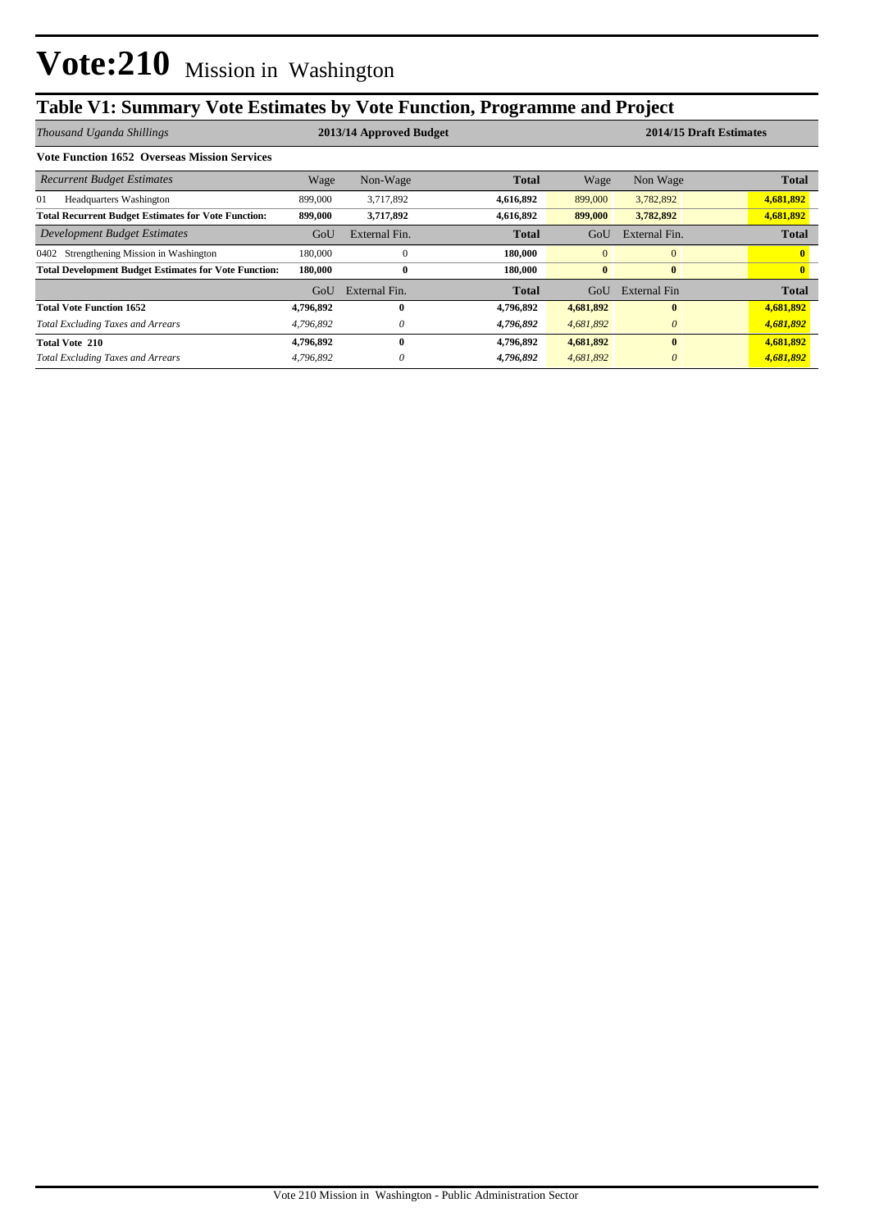# **Table V1: Summary Vote Estimates by Vote Function, Programme and Project**

| Thousand Uganda Shillings                                    | 2013/14 Approved Budget |               |              |                | 2014/15 Draft Estimates |              |  |  |
|--------------------------------------------------------------|-------------------------|---------------|--------------|----------------|-------------------------|--------------|--|--|
| <b>Vote Function 1652 Overseas Mission Services</b>          |                         |               |              |                |                         |              |  |  |
| <b>Recurrent Budget Estimates</b>                            | Wage                    | Non-Wage      | <b>Total</b> | Wage           | Non Wage                | <b>Total</b> |  |  |
| <b>Headquarters Washington</b><br>01                         | 899,000                 | 3,717,892     | 4,616,892    | 899,000        | 3,782,892               | 4,681,892    |  |  |
| <b>Total Recurrent Budget Estimates for Vote Function:</b>   | 899,000                 | 3,717,892     | 4,616,892    | 899,000        | 3,782,892               | 4,681,892    |  |  |
| Development Budget Estimates                                 | GoU                     | External Fin. | <b>Total</b> | GoU            | External Fin.           | <b>Total</b> |  |  |
| 0402 Strengthening Mission in Washington                     | 180,000                 | $\Omega$      | 180,000      | $\overline{0}$ | $\mathbf{0}$            |              |  |  |
| <b>Total Development Budget Estimates for Vote Function:</b> | 180,000                 | $\bf{0}$      | 180,000      | $\bf{0}$       | $\bf{0}$                |              |  |  |
|                                                              | GoU                     | External Fin. | <b>Total</b> | GoU            | External Fin            | <b>Total</b> |  |  |
| <b>Total Vote Function 1652</b>                              | 4,796,892               | $\mathbf{0}$  | 4,796,892    | 4,681,892      | $\mathbf{0}$            | 4,681,892    |  |  |
| <b>Total Excluding Taxes and Arrears</b>                     | 4,796,892               | $\theta$      | 4,796,892    | 4,681,892      | $\theta$                | 4,681,892    |  |  |
| <b>Total Vote 210</b>                                        | 4,796,892               | $\mathbf{0}$  | 4,796,892    | 4,681,892      | $\mathbf{0}$            | 4,681,892    |  |  |
| <b>Total Excluding Taxes and Arrears</b>                     | 4,796,892               | $\theta$      | 4,796,892    | 4,681,892      | $\theta$                | 4,681,892    |  |  |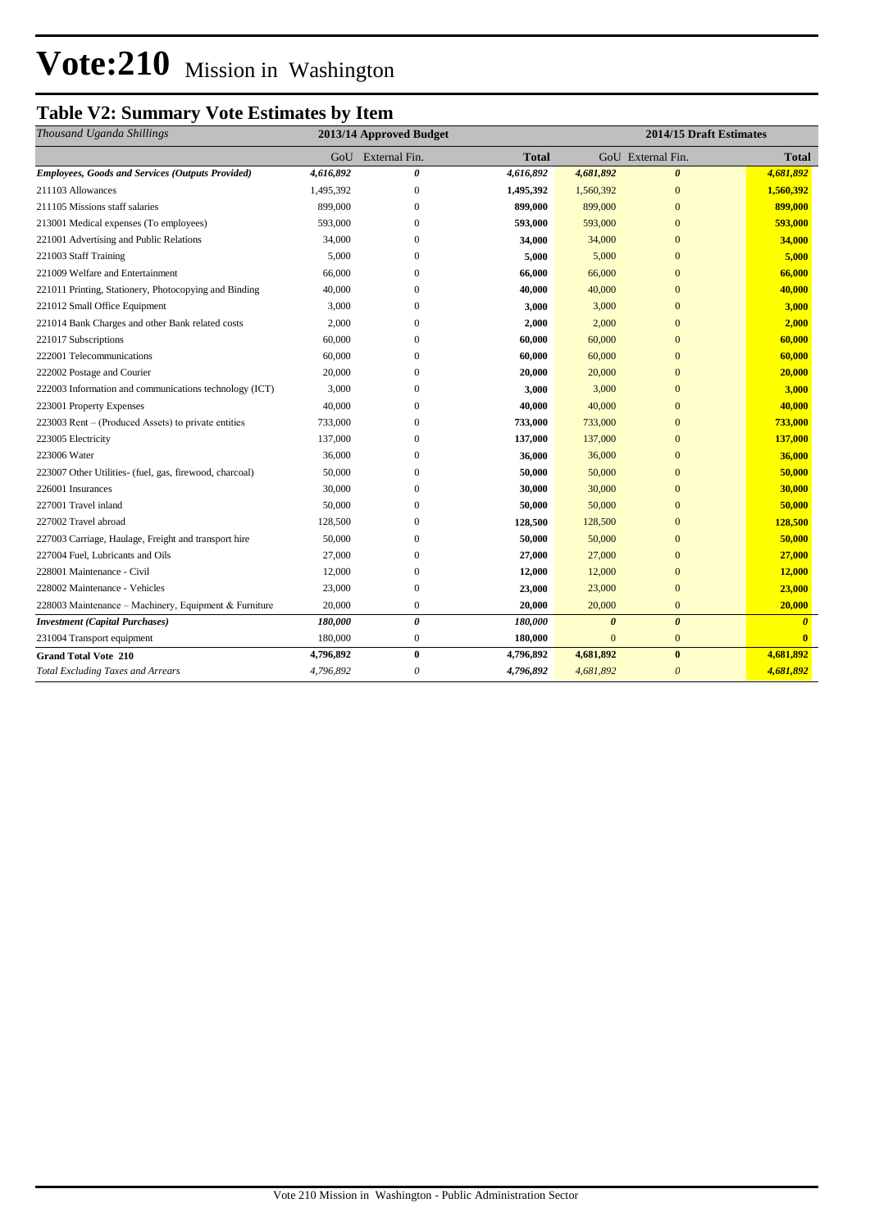# **Vote:210** Mission in Washington

## **Table V2: Summary Vote Estimates by Item**

| Thousand Uganda Shillings                               | 2013/14 Approved Budget |                           |              | 2014/15 Draft Estimates |                         |              |
|---------------------------------------------------------|-------------------------|---------------------------|--------------|-------------------------|-------------------------|--------------|
|                                                         | GoU                     | External Fin.             | <b>Total</b> |                         | GoU External Fin.       | <b>Total</b> |
| <b>Employees, Goods and Services (Outputs Provided)</b> | 4,616,892               | $\boldsymbol{\theta}$     | 4,616,892    | 4,681,892               | $\boldsymbol{\theta}$   | 4,681,892    |
| 211103 Allowances                                       | 1,495,392               | $\boldsymbol{0}$          | 1,495,392    | 1,560,392               | $\mathbf{0}$            | 1,560,392    |
| 211105 Missions staff salaries                          | 899,000                 | $\mathbf{0}$              | 899,000      | 899,000                 | $\mathbf{0}$            | 899,000      |
| 213001 Medical expenses (To employees)                  | 593,000                 | $\mathbf{0}$              | 593,000      | 593,000                 | $\mathbf{0}$            | 593,000      |
| 221001 Advertising and Public Relations                 | 34,000                  | $\mathbf{0}$              | 34,000       | 34,000                  | $\overline{0}$          | 34,000       |
| 221003 Staff Training                                   | 5,000                   | 0                         | 5,000        | 5,000                   | $\overline{0}$          | 5,000        |
| 221009 Welfare and Entertainment                        | 66,000                  | $\mathbf{0}$              | 66,000       | 66,000                  | $\mathbf{0}$            | 66,000       |
| 221011 Printing, Stationery, Photocopying and Binding   | 40,000                  | $\mathbf{0}$              | 40,000       | 40,000                  | $\mathbf{0}$            | 40,000       |
| 221012 Small Office Equipment                           | 3,000                   | $\mathbf{0}$              | 3,000        | 3,000                   | $\overline{0}$          | 3,000        |
| 221014 Bank Charges and other Bank related costs        | 2,000                   | $\Omega$                  | 2,000        | 2,000                   | $\overline{0}$          | 2,000        |
| 221017 Subscriptions                                    | 60,000                  | $\Omega$                  | 60,000       | 60,000                  | $\mathbf{0}$            | 60,000       |
| 222001 Telecommunications                               | 60,000                  | $\mathbf{0}$              | 60,000       | 60,000                  | $\overline{0}$          | 60,000       |
| 222002 Postage and Courier                              | 20,000                  | $\mathbf{0}$              | 20,000       | 20,000                  | $\overline{0}$          | 20,000       |
| 222003 Information and communications technology (ICT)  | 3,000                   | $\mathbf{0}$              | 3,000        | 3,000                   | $\mathbf{0}$            | 3,000        |
| 223001 Property Expenses                                | 40,000                  | $\mathbf{0}$              | 40,000       | 40,000                  | $\mathbf{0}$            | 40,000       |
| 223003 Rent – (Produced Assets) to private entities     | 733,000                 | $\mathbf{0}$              | 733,000      | 733,000                 | $\mathbf{0}$            | 733,000      |
| 223005 Electricity                                      | 137,000                 | $\mathbf{0}$              | 137,000      | 137,000                 | $\mathbf{0}$            | 137,000      |
| 223006 Water                                            | 36,000                  | $\mathbf{0}$              | 36,000       | 36,000                  | $\mathbf{0}$            | 36,000       |
| 223007 Other Utilities- (fuel, gas, firewood, charcoal) | 50,000                  | $\overline{0}$            | 50,000       | 50,000                  | $\mathbf{0}$            | 50,000       |
| 226001 Insurances                                       | 30,000                  | $\mathbf{0}$              | 30,000       | 30,000                  | $\mathbf{0}$            | 30,000       |
| 227001 Travel inland                                    | 50,000                  | 0                         | 50,000       | 50,000                  | $\mathbf{0}$            | 50,000       |
| 227002 Travel abroad                                    | 128,500                 | $\Omega$                  | 128,500      | 128,500                 | $\mathbf{0}$            | 128,500      |
| 227003 Carriage, Haulage, Freight and transport hire    | 50,000                  | $\mathbf{0}$              | 50,000       | 50,000                  | $\overline{0}$          | 50,000       |
| 227004 Fuel, Lubricants and Oils                        | 27,000                  | $\mathbf{0}$              | 27,000       | 27,000                  | $\overline{0}$          | 27,000       |
| 228001 Maintenance - Civil                              | 12,000                  | $\boldsymbol{0}$          | 12,000       | 12,000                  | $\mathbf{0}$            | 12,000       |
| 228002 Maintenance - Vehicles                           | 23,000                  | $\boldsymbol{0}$          | 23,000       | 23,000                  | $\mathbf{0}$            | 23,000       |
| 228003 Maintenance - Machinery, Equipment & Furniture   | 20,000                  | $\boldsymbol{0}$          | 20,000       | 20,000                  | $\mathbf{0}$            | 20,000       |
| <b>Investment</b> (Capital Purchases)                   | 180,000                 | 0                         | 180,000      | $\boldsymbol{\theta}$   | $\boldsymbol{\theta}$   | $\theta$     |
| 231004 Transport equipment                              | 180,000                 | $\boldsymbol{0}$          | 180,000      | $\mathbf{0}$            | $\mathbf{0}$            | $\mathbf{0}$ |
| <b>Grand Total Vote 210</b>                             | 4,796,892               | $\bf{0}$                  | 4,796,892    | 4,681,892               | $\bf{0}$                | 4,681,892    |
| <b>Total Excluding Taxes and Arrears</b>                | 4,796,892               | $\boldsymbol{\mathit{0}}$ | 4,796,892    | 4,681,892               | $\overline{\mathbf{0}}$ | 4,681,892    |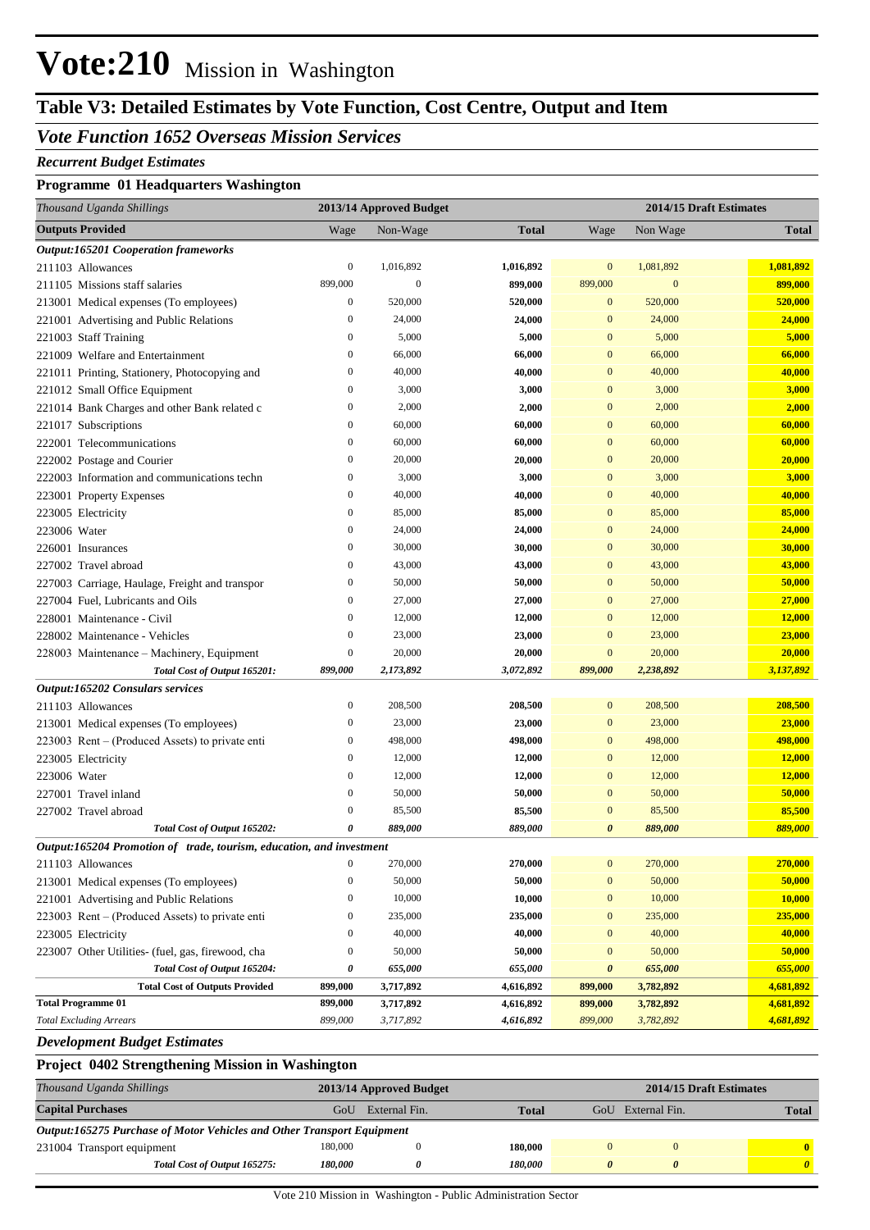# **Vote:210** Mission in Washington

## **Table V3: Detailed Estimates by Vote Function, Cost Centre, Output and Item**

### *Vote Function 1652 Overseas Mission Services*

#### *Recurrent Budget Estimates*

#### **Programme 01 Headquarters Washington**

| Thousand Uganda Shillings                                            |                  | 2013/14 Approved Budget |              | 2014/15 Draft Estimates |              |              |
|----------------------------------------------------------------------|------------------|-------------------------|--------------|-------------------------|--------------|--------------|
| <b>Outputs Provided</b>                                              | Wage             | Non-Wage                | <b>Total</b> | Wage                    | Non Wage     | <b>Total</b> |
| <b>Output:165201 Cooperation frameworks</b>                          |                  |                         |              |                         |              |              |
| 211103 Allowances                                                    | $\boldsymbol{0}$ | 1,016,892               | 1,016,892    | $\mathbf{0}$            | 1,081,892    | 1,081,892    |
| 211105 Missions staff salaries                                       | 899,000          | $\boldsymbol{0}$        | 899,000      | 899,000                 | $\mathbf{0}$ | 899,000      |
| 213001 Medical expenses (To employees)                               | $\boldsymbol{0}$ | 520,000                 | 520,000      | 0                       | 520,000      | 520,000      |
| 221001 Advertising and Public Relations                              | $\bf{0}$         | 24,000                  | 24,000       | $\bf{0}$                | 24,000       | 24,000       |
| 221003 Staff Training                                                | $\bf{0}$         | 5,000                   | 5,000        | $\bf{0}$                | 5,000        | 5,000        |
| 221009 Welfare and Entertainment                                     | $\bf{0}$         | 66,000                  | 66,000       | $\mathbf{0}$            | 66,000       | 66,000       |
| 221011 Printing, Stationery, Photocopying and                        | $\boldsymbol{0}$ | 40,000                  | 40,000       | $\mathbf{0}$            | 40,000       | 40,000       |
| 221012 Small Office Equipment                                        | $\boldsymbol{0}$ | 3,000                   | 3,000        | $\mathbf{0}$            | 3,000        | 3,000        |
| 221014 Bank Charges and other Bank related c                         | $\bf{0}$         | 2,000                   | 2,000        | $\mathbf{0}$            | 2,000        | 2,000        |
| 221017 Subscriptions                                                 | $\bf{0}$         | 60,000                  | 60,000       | $\mathbf{0}$            | 60,000       | 60,000       |
| 222001 Telecommunications                                            | $\boldsymbol{0}$ | 60,000                  | 60,000       | $\mathbf{0}$            | 60,000       | 60,000       |
| 222002 Postage and Courier                                           | $\boldsymbol{0}$ | 20,000                  | 20,000       | $\mathbf{0}$            | 20,000       | 20,000       |
| 222003 Information and communications techn                          | $\boldsymbol{0}$ | 3,000                   | 3,000        | $\mathbf{0}$            | 3,000        | 3,000        |
| 223001 Property Expenses                                             | $\bf{0}$         | 40,000                  | 40,000       | $\mathbf{0}$            | 40,000       | 40,000       |
| 223005 Electricity                                                   | $\boldsymbol{0}$ | 85,000                  | 85,000       | $\mathbf{0}$            | 85,000       | 85,000       |
| 223006 Water                                                         | $\boldsymbol{0}$ | 24,000                  | 24,000       | $\mathbf{0}$            | 24,000       | 24,000       |
| 226001 Insurances                                                    | $\boldsymbol{0}$ | 30,000                  | 30,000       | $\mathbf{0}$            | 30,000       | 30,000       |
| 227002 Travel abroad                                                 | $\bf{0}$         | 43,000                  | 43,000       | $\mathbf{0}$            | 43,000       | 43,000       |
| 227003 Carriage, Haulage, Freight and transpor                       | $\boldsymbol{0}$ | 50,000                  | 50,000       | $\mathbf{0}$            | 50,000       | 50,000       |
| 227004 Fuel, Lubricants and Oils                                     | $\boldsymbol{0}$ | 27,000                  | 27,000       | $\mathbf{0}$            | 27,000       | 27,000       |
| 228001 Maintenance - Civil                                           | $\boldsymbol{0}$ | 12,000                  | 12,000       | $\mathbf{0}$            | 12,000       | 12,000       |
| 228002 Maintenance - Vehicles                                        | $\mathbf{0}$     | 23,000                  | 23,000       | $\mathbf{0}$            | 23,000       | 23,000       |
| 228003 Maintenance – Machinery, Equipment                            | $\boldsymbol{0}$ | 20,000                  | 20,000       | $\boldsymbol{0}$        | 20,000       | 20,000       |
| Total Cost of Output 165201:                                         | 899,000          | 2,173,892               | 3,072,892    | 899,000                 | 2,238,892    | 3,137,892    |
| Output:165202 Consulars services                                     |                  |                         |              |                         |              |              |
| 211103 Allowances                                                    | $\boldsymbol{0}$ | 208,500                 | 208,500      | $\boldsymbol{0}$        | 208,500      | 208,500      |
| 213001 Medical expenses (To employees)                               | $\boldsymbol{0}$ | 23,000                  | 23,000       | $\boldsymbol{0}$        | 23,000       | 23,000       |
| 223003 Rent – (Produced Assets) to private enti                      | $\boldsymbol{0}$ | 498,000                 | 498,000      | $\mathbf{0}$            | 498,000      | 498,000      |
| 223005 Electricity                                                   | $\boldsymbol{0}$ | 12,000                  | 12,000       | $\mathbf{0}$            | 12,000       | 12,000       |
| 223006 Water                                                         | $\boldsymbol{0}$ | 12,000                  | 12,000       | $\mathbf{0}$            | 12,000       | 12,000       |
| 227001 Travel inland                                                 | $\boldsymbol{0}$ | 50,000                  | 50,000       | $\mathbf{0}$            | 50,000       | 50,000       |
| 227002 Travel abroad                                                 | $\mathbf{0}$     | 85,500                  | 85,500       | $\mathbf{0}$            | 85,500       | 85,500       |
| Total Cost of Output 165202:                                         | 0                | 889,000                 | 889,000      | 0                       | 889,000      | 889,000      |
| Output:165204 Promotion of trade, tourism, education, and investment |                  |                         |              |                         |              |              |
| 211103 Allowances                                                    | $\boldsymbol{0}$ | 270,000                 | 270,000      | $\boldsymbol{0}$        | 270,000      | 270,000      |
| 213001 Medical expenses (To employees)                               | $\boldsymbol{0}$ | 50,000                  | 50,000       | $\boldsymbol{0}$        | 50,000       | 50,000       |
| 221001 Advertising and Public Relations                              | $\bf{0}$         | 10,000                  | 10,000       | $\boldsymbol{0}$        | 10,000       | 10,000       |
| 223003 Rent - (Produced Assets) to private enti                      | $\boldsymbol{0}$ | 235,000                 | 235,000      | $\boldsymbol{0}$        | 235,000      | 235,000      |
| 223005 Electricity                                                   | $\boldsymbol{0}$ | 40,000                  | 40,000       | $\boldsymbol{0}$        | 40,000       | 40,000       |
| 223007 Other Utilities- (fuel, gas, firewood, cha                    | $\boldsymbol{0}$ | 50,000                  | 50,000       | $\boldsymbol{0}$        | 50,000       | 50,000       |
| Total Cost of Output 165204:                                         | 0                | 655,000                 | 655,000      | 0                       | 655,000      | 655,000      |
| <b>Total Cost of Outputs Provided</b>                                | 899,000          | 3,717,892               | 4,616,892    | 899,000                 | 3,782,892    | 4,681,892    |
| <b>Total Programme 01</b>                                            | 899,000          | 3,717,892               | 4,616,892    | 899,000                 | 3,782,892    | 4,681,892    |
| <b>Total Excluding Arrears</b>                                       | 899,000          | 3,717,892               | 4,616,892    | 899,000                 | 3,782,892    | 4,681,892    |
| <b>Development Budget Estimates</b>                                  |                  |                         |              |                         |              |              |

#### **Project 0402 Strengthening Mission in Washington**

| Thousand Uganda Shillings                                              | 2013/14 Approved Budget |               |                       |  | 2014/15 Draft Estimates |  |              |  |
|------------------------------------------------------------------------|-------------------------|---------------|-----------------------|--|-------------------------|--|--------------|--|
| <b>Capital Purchases</b>                                               | GoU                     | External Fin. | <b>Total</b>          |  | GoU External Fin.       |  | <b>Total</b> |  |
| Output:165275 Purchase of Motor Vehicles and Other Transport Equipment |                         |               |                       |  |                         |  |              |  |
| 231004 Transport equipment                                             | 180,000                 |               | 180.000               |  |                         |  | $\mathbf{0}$ |  |
| Total Cost of Output 165275:                                           | <i><b>180.000</b></i>   |               | <i><b>180.000</b></i> |  |                         |  | $\theta$     |  |